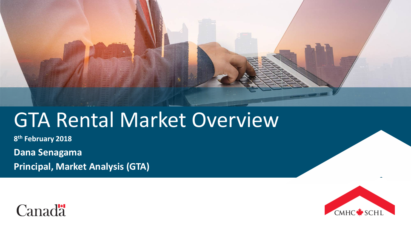

# GTA Rental Market Overview

**8th February 2018**

**Dana Senagama**

**Principal, Market Analysis (GTA)**



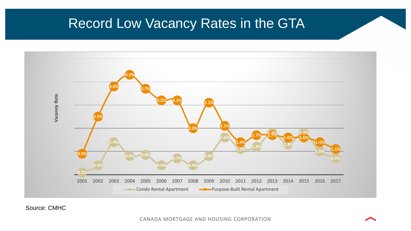# Record Low Vacancy Rates in the GTA



Source: CMHC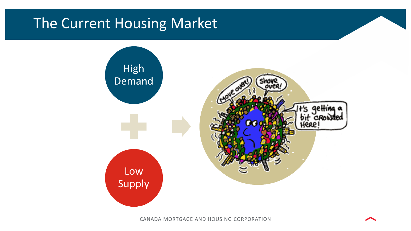# The Current Housing Market

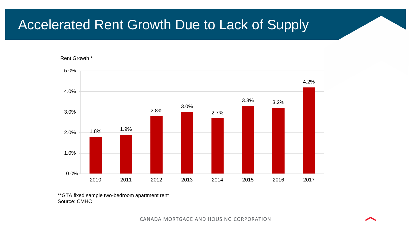# Accelerated Rent Growth Due to Lack of Supply

Rent Growth \*



\*\*GTA fixed sample two-bedroom apartment rent Source: CMHC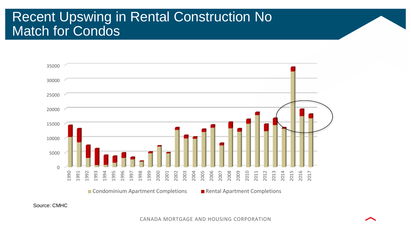# Recent Upswing in Rental Construction No Match for Condos



Source: CMHC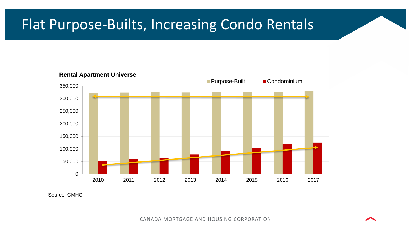# Flat Purpose-Builts, Increasing Condo Rentals



**Rental Apartment Universe**

Source: CMHC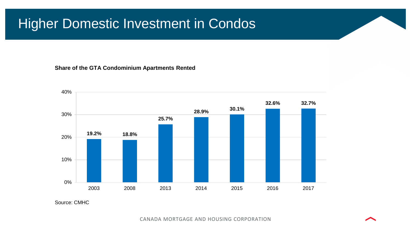# Higher Domestic Investment in Condos

#### **Share of the GTA Condominium Apartments Rented**



Source: CMHC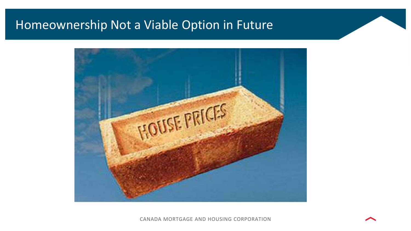### Homeownership Not a Viable Option in Future

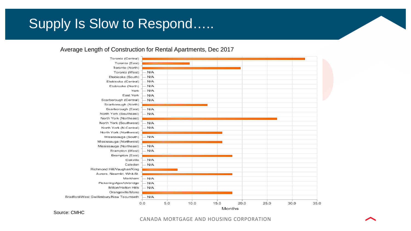# Supply Is Slow to Respond…..

### Average Length of Construction for Rental Apartments, Dec 2017



Source: CMHC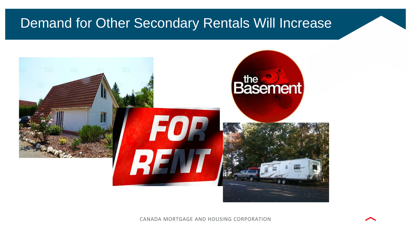# Demand for Other Secondary Rentals Will Increase

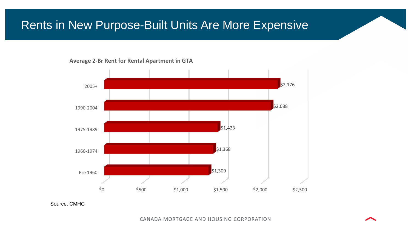### Rents in New Purpose-Built Units Are More Expensive





Source: CMHC